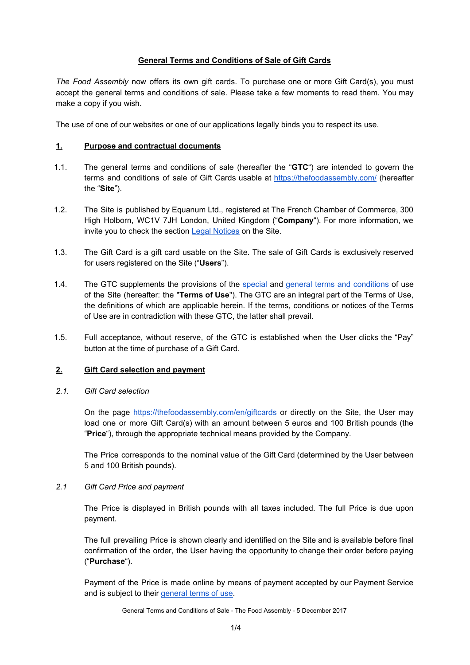# **General Terms and Conditions of Sale of Gift Cards**

*The Food Assembly* now offers its own gift cards. To purchase one or more Gift Card(s), you must accept the general terms and conditions of sale. Please take a few moments to read them. You may make a copy if you wish.

The use of one of our websites or one of our applications legally binds you to respect its use.

### **1. Purpose and contractual documents**

- 1.1. The general terms and conditions of sale (hereafter the "**GTC**") are intended to govern the terms and conditions of sale of Gift Cards usable at <https://thefoodassembly.com/> (hereafter the "**Site**").
- 1.2. The Site is published by Equanum Ltd., registered at The French Chamber of Commerce, 300 High Holborn, WC1V 7JH London, United Kingdom ("**Company**"). For more information, we invite you to check the section **Legal [Notices](https://thefoodassembly.com/en/p/legal-mentions)** on the Site.
- 1.3. The Gift Card is a gift card usable on the Site. The sale of Gift Cards is exclusively reserved for users registered on the Site ("Users").
- 1.4. The GTC supplements the provisions of the [special](https://d252gktqfh773f.cloudfront.net/en/p/assets/documents/en-GB/terms/cpu.pdf) and general terms and [conditions](https://d252gktqfh773f.cloudfront.net/en/p/assets/documents/en-GB/terms/cgu.pdf) of use of the Site (hereafter: the "**Terms of Use**"). The GTC are an integral part of the Terms of Use, the definitions of which are applicable herein. If the terms, conditions or notices of the Terms of Use are in contradiction with these GTC, the latter shall prevail.
- 1.5. Full acceptance, without reserve, of the GTC is established when the User clicks the "Pay" button at the time of purchase of a Gift Card.

#### **2. Gift Card selection and payment**

*2.1. Gift Card selection*

On the page <https://thefoodassembly.com/en/giftcards> or directly on the Site, the User may load one or more Gift Card(s) with an amount between 5 euros and 100 British pounds (the "**Price**"), through the appropriate technical means provided by the Company.

The Price corresponds to the nominal value of the Gift Card (determined by the User between 5 and 100 British pounds).

#### *2.1 Gift Card Price and payment*

The Price is displayed in British pounds with all taxes included. The full Price is due upon payment.

The full prevailing Price is shown clearly and identified on the Site and is available before final confirmation of the order, the User having the opportunity to change their order before paying ("**Purchase**").

Payment of the Price is made online by means of payment accepted by our Payment Service and is subject to their [general](https://d252gktqfh773f.cloudfront.net/en/p/assets/documents/fr-CH/terms/mangopay.pdf) terms of use.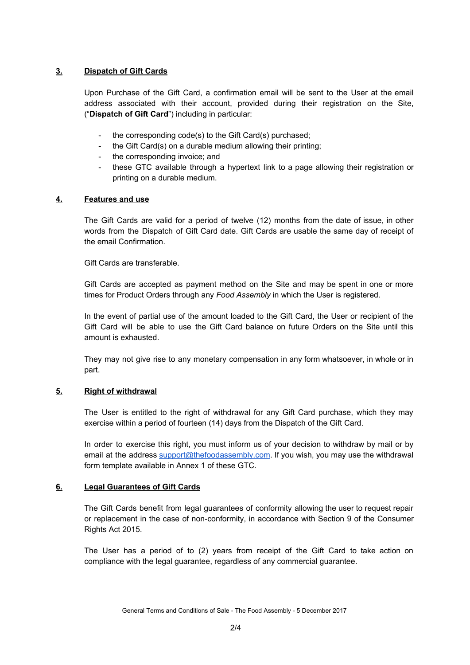# **3. Dispatch of Gift Cards**

Upon Purchase of the Gift Card, a confirmation email will be sent to the User at the email address associated with their account, provided during their registration on the Site, ("**Dispatch of Gift Card**") including in particular:

- the corresponding code(s) to the Gift Card(s) purchased;
- the Gift Card(s) on a durable medium allowing their printing;
- the corresponding invoice; and
- these GTC available through a hypertext link to a page allowing their registration or printing on a durable medium.

# **4. Features and use**

The Gift Cards are valid for a period of twelve (12) months from the date of issue, in other words from the Dispatch of Gift Card date. Gift Cards are usable the same day of receipt of the email Confirmation.

Gift Cards are transferable.

Gift Cards are accepted as payment method on the Site and may be spent in one or more times for Product Orders through any *Food Assembly* in which the User is registered.

In the event of partial use of the amount loaded to the Gift Card, the User or recipient of the Gift Card will be able to use the Gift Card balance on future Orders on the Site until this amount is exhausted.

They may not give rise to any monetary compensation in any form whatsoever, in whole or in part.

#### **5. Right of withdrawal**

The User is entitled to the right of withdrawal for any Gift Card purchase, which they may exercise within a period of fourteen (14) days from the Dispatch of the Gift Card.

In order to exercise this right, you must inform us of your decision to withdraw by mail or by email at the address [support@thefoodassembly.com.](mailto:support@thefoodassembly.com) If you wish, you may use the withdrawal form template available in Annex 1 of these GTC.

#### **6. Legal Guarantees of Gift Cards**

The Gift Cards benefit from legal guarantees of conformity allowing the user to request repair or replacement in the case of non-conformity, in accordance with Section 9 of the Consumer Rights Act 2015.

The User has a period of to (2) years from receipt of the Gift Card to take action on compliance with the legal guarantee, regardless of any commercial guarantee.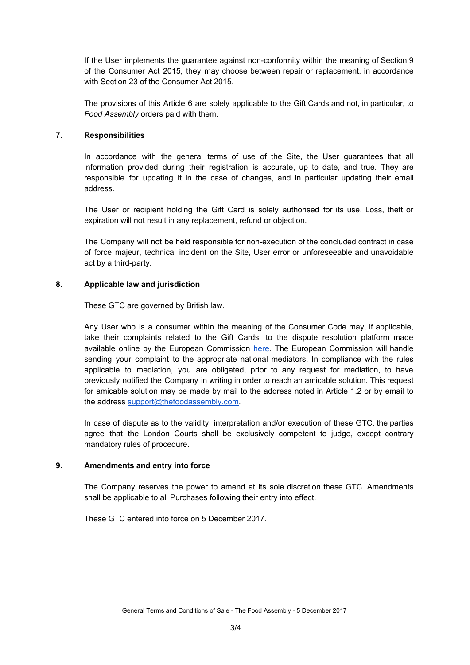If the User implements the guarantee against non-conformity within the meaning of Section 9 of the Consumer Act 2015, they may choose between repair or replacement, in accordance with Section 23 of the Consumer Act 2015.

The provisions of this Article 6 are solely applicable to the Gift Cards and not, in particular, to *Food Assembly* orders paid with them.

# **7. Responsibilities**

In accordance with the general terms of use of the Site, the User guarantees that all information provided during their registration is accurate, up to date, and true. They are responsible for updating it in the case of changes, and in particular updating their email address.

The User or recipient holding the Gift Card is solely authorised for its use. Loss, theft or expiration will not result in any replacement, refund or objection.

The Company will not be held responsible for non-execution of the concluded contract in case of force majeur, technical incident on the Site, User error or unforeseeable and unavoidable act by a third-party.

# **8. Applicable law and jurisdiction**

These GTC are governed by British law.

Any User who is a consumer within the meaning of the Consumer Code may, if applicable, take their complaints related to the Gift Cards, to the dispute resolution platform made available online by the European Commission [here.](https://ec.europa.eu/consumers/odr/main/?event=main.home.show) The European Commission will handle sending your complaint to the appropriate national mediators. In compliance with the rules applicable to mediation, you are obligated, prior to any request for mediation, to have previously notified the Company in writing in order to reach an amicable solution. This request for amicable solution may be made by mail to the address noted in Article 1.2 or by email to the address [support@thefoodassembly.com.](mailto:support@thefoodassembly.com)

In case of dispute as to the validity, interpretation and/or execution of these GTC, the parties agree that the London Courts shall be exclusively competent to judge, except contrary mandatory rules of procedure.

#### **9. Amendments and entry into force**

The Company reserves the power to amend at its sole discretion these GTC. Amendments shall be applicable to all Purchases following their entry into effect.

These GTC entered into force on 5 December 2017.